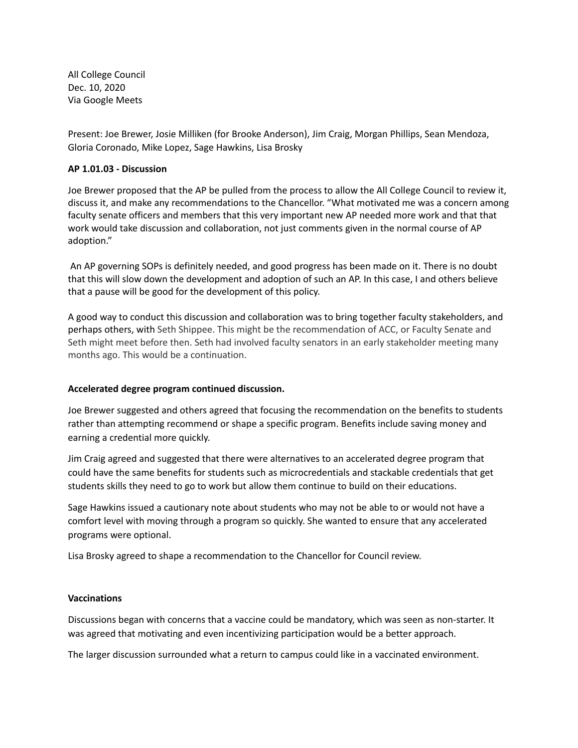All College Council Dec. 10, 2020 Via Google Meets

Present: Joe Brewer, Josie Milliken (for Brooke Anderson), Jim Craig, Morgan Phillips, Sean Mendoza, Gloria Coronado, Mike Lopez, Sage Hawkins, Lisa Brosky

## **AP 1.01.03 - Discussion**

Joe Brewer proposed that the AP be pulled from the process to allow the All College Council to review it, discuss it, and make any recommendations to the Chancellor. "What motivated me was a concern among faculty senate officers and members that this very important new AP needed more work and that that work would take discussion and collaboration, not just comments given in the normal course of AP adoption."

An AP governing SOPs is definitely needed, and good progress has been made on it. There is no doubt that this will slow down the development and adoption of such an AP. In this case, I and others believe that a pause will be good for the development of this policy.

A good way to conduct this discussion and collaboration was to bring together faculty stakeholders, and perhaps others, with Seth Shippee. This might be the recommendation of ACC, or Faculty Senate and Seth might meet before then. Seth had involved faculty senators in an early stakeholder meeting many months ago. This would be a continuation.

## **Accelerated degree program continued discussion.**

Joe Brewer suggested and others agreed that focusing the recommendation on the benefits to students rather than attempting recommend or shape a specific program. Benefits include saving money and earning a credential more quickly.

Jim Craig agreed and suggested that there were alternatives to an accelerated degree program that could have the same benefits for students such as microcredentials and stackable credentials that get students skills they need to go to work but allow them continue to build on their educations.

Sage Hawkins issued a cautionary note about students who may not be able to or would not have a comfort level with moving through a program so quickly. She wanted to ensure that any accelerated programs were optional.

Lisa Brosky agreed to shape a recommendation to the Chancellor for Council review.

## **Vaccinations**

Discussions began with concerns that a vaccine could be mandatory, which was seen as non-starter. It was agreed that motivating and even incentivizing participation would be a better approach.

The larger discussion surrounded what a return to campus could like in a vaccinated environment.